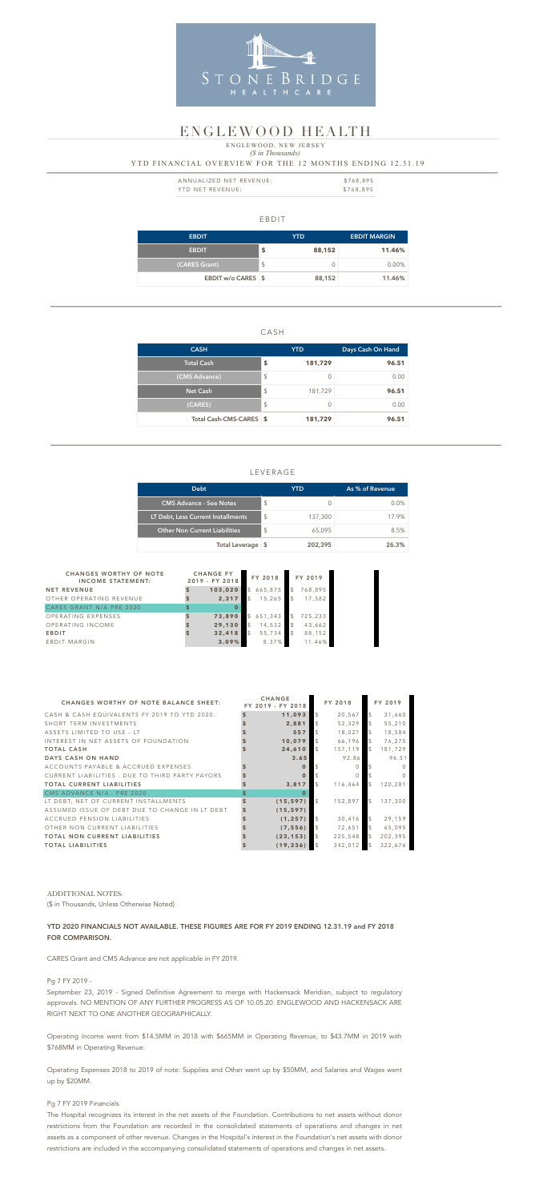#### EBDIT

| <b>EBDIT</b>       | YTD. |        | <b>EBDIT MARGIN</b> |
|--------------------|------|--------|---------------------|
| <b>EBDIT</b>       | S    | 88,152 | 11.46%              |
| (CARES Grant)      | \$   |        | 0.00%               |
| EBDIT w/o CARES \$ |      | 88,152 | 11.46%              |

#### CASH

| <b>CASH</b>             |                         | <b>YTD</b> | Days Cash On Hand |  |  |
|-------------------------|-------------------------|------------|-------------------|--|--|
| <b>Total Cash</b>       | S                       | 181,729    | 96.51             |  |  |
| (CMS Advance)           | $\sqrt[6]{\frac{1}{2}}$ | 0          | 0.00              |  |  |
| <b>Net Cash</b>         | $\frac{1}{2}$           | 181,729    | 96.51             |  |  |
| (CARES)                 | $\sqrt[6]{\frac{1}{2}}$ | 0          | 0.00              |  |  |
| Total Cash-CMS-CARES \$ |                         | 181,729    | 96.51             |  |  |

| ANNUALIZED NET REVENUE: | \$768.895 |
|-------------------------|-----------|
| YTD NET REVENUE:        | \$768,895 |

### LEVERAGE

## *(\$ in Thousands)* YTD FINANCIAL OVERVIEW FOR THE 12 MONTHS ENDING 12.31.19 ENGLEWOOD, NEW JERSEY

| <b>Debt</b>                          | <b>YTD</b>    |         | As % of Revenue |
|--------------------------------------|---------------|---------|-----------------|
| <b>CMS Advance - See Notes</b>       | $\mathcal{L}$ |         | $0.0\%$         |
| LT Debt, Less Current Installments   | $\mathcal{L}$ | 137,300 | 17.9%           |
| <b>Other Non Current Liabilities</b> | $\mathcal{S}$ | 65,095  | 8.5%            |
| Total Leverage \$                    |               | 202,395 | 26.3%           |



## ENGLEWOOD HEALTH

| <b>CHANGES WORTHY OF NOTE</b><br><b>INCOME STATEMENT:</b> | <b>CHANGE FY</b><br>2019 - FY 2018 |          | FY 2018 |           | FY 2019       |         |
|-----------------------------------------------------------|------------------------------------|----------|---------|-----------|---------------|---------|
| <b>NET REVENUE</b>                                        |                                    | 103,020  |         | \$665,875 | $\mathcal{S}$ | 768,895 |
| OTHER OPERATING REVENUE                                   |                                    | 2,317    | \$      | 15,265    | <b>S</b>      | 17,582  |
| CARES GRANT N/A PRE 2020                                  | \$                                 | $\bf{0}$ |         |           |               |         |
| OPERATING EXPENSES                                        |                                    | 73,890   |         | \$651,343 | $\sqrt{5}$    | 725,233 |
| OPERATING INCOME                                          |                                    | 29,130   | \$      | 14,532    | <b>S</b>      | 43,662  |
| <b>EBDIT</b>                                              |                                    | 32,418   | \$      | 55,734    | <b>S</b>      | 88,152  |
| EBDIT MARGIN                                              |                                    | 3.09%    |         | 8.37%     |               | 11.46%  |

| <b>CHANGES WORTHY OF NOTE BALANCE SHEET:</b>    | <b>CHANGE</b><br>FY 2019 - FY 2018 |                | FY 2018 |                | FY 2019  |
|-------------------------------------------------|------------------------------------|----------------|---------|----------------|----------|
| CASH & CASH EQUIVALENTS FY 2019 TO YTD 2020:    | 11,093                             | $\mathcal{L}$  | 20,567  | $\mathfrak{L}$ | 31,660   |
| SHORT TERM INVESTMENTS                          | 2,881                              | $\mathfrak{L}$ | 52,329  | $\mathcal{L}$  | 55,210   |
| ASSETS LIMITED TO USE - LT                      | 557                                | $\mathcal{S}$  | 18,027  | $\mathcal{L}$  | 18,584   |
| INTEREST IN NET ASSETS OF FOUNDATION            | 10,079                             | $\mathcal{S}$  | 66,196  | $\mathcal{L}$  | 76,275   |
| <b>TOTAL CASH</b>                               | 24,610                             | $\mathcal{S}$  | 157,119 | $\mathcal{L}$  | 181,729  |
| DAYS CASH ON HAND                               | 3.65                               |                | 92.86   |                | 96.51    |
| ACCOUNTS PAYABLE & ACCRUED EXPENSES             | $\Omega$                           |                | $\cap$  |                |          |
| CURRENT LIABILITIES - DUE TO THIRD PARTY PAYORS | $\Omega$                           |                | $\cap$  |                | $\Omega$ |
| <b>TOTAL CURRENT LIABILITIES</b>                | 3,817                              | $\mathfrak{L}$ | 116,464 | $\mathcal{L}$  | 120,281  |
| CMS ADVANCE N/A - PRE 2020                      | $\Omega$                           |                |         |                |          |
| LT DEBT, NET OF CURRENT INSTALLMENTS            | (15, 597)                          | $\mathcal{S}$  | 152,897 | $\mathcal{S}$  | 137,300  |
| ASSUMED ISSUE OF DEBT DUE TO CHANGE IN LT DEBT  | (15, 597)                          |                |         |                |          |
| ACCRUED PENSION LIABILITIES                     | (1, 257)                           | $\mathcal{S}$  | 30,416  | $\mathcal{L}$  | 29,159   |
| OTHER NON CURRENT LIABILITIES                   | (7, 556)                           | $\mathcal{L}$  | 72,651  | $\mathcal{L}$  | 65,095   |
| <b>TOTAL NON CURRENT LIABILITIES</b>            | (23, 153)                          | $\mathcal{L}$  | 225,548 | $\mathcal{L}$  | 202,395  |
| <b>TOTAL LIABILITIES</b>                        | (19, 336)                          | $\mathcal{L}$  | 342,012 | $\mathcal{L}$  | 322,676  |

#### ADDITIONAL NOTES:

(\$ in Thousands, Unless Otherwise Noted)

### YTD 2020 FINANCIALS NOT AVAILABLE. THESE FIGURES ARE FOR FY 2019 ENDING 12.31.19 and FY 2018 FOR COMPARISON.

CARES Grant and CMS Advance are not applicable in FY 2019.

Pg 7 FY 2019 -

September 23, 2019 - Signed Definitive Agreement to merge with Hackensack Meridian, subject to regulatory approvals. NO MENTION OF ANY FURTHER PROGRESS AS OF 10.05.20. ENGLEWOOD AND HACKENSACK ARE RIGHT NEXT TO ONE ANOTHER GEOGRAPHICALLY.

Operating Income went from \$14.5MM in 2018 with \$665MM in Operating Revenue, to \$43.7MM in 2019 with \$768MM in Operating Revenue.

Operating Expenses 2018 to 2019 of note: Supplies and Other went up by \$50MM, and Salaries and Wages went up by \$20MM.

#### Pg 7 FY 2019 Financials

The Hospital recognizes its interest in the net assets of the Foundation. Contributions to net assets without donor

restrictions from the Foundation are recorded in the consolidated statements of operations and changes in net

assets as a component of other revenue. Changes in the Hospital's interest in the Foundation's net assets with donor

restrictions are included in the accompanying consolidated statements of operations and changes in net assets.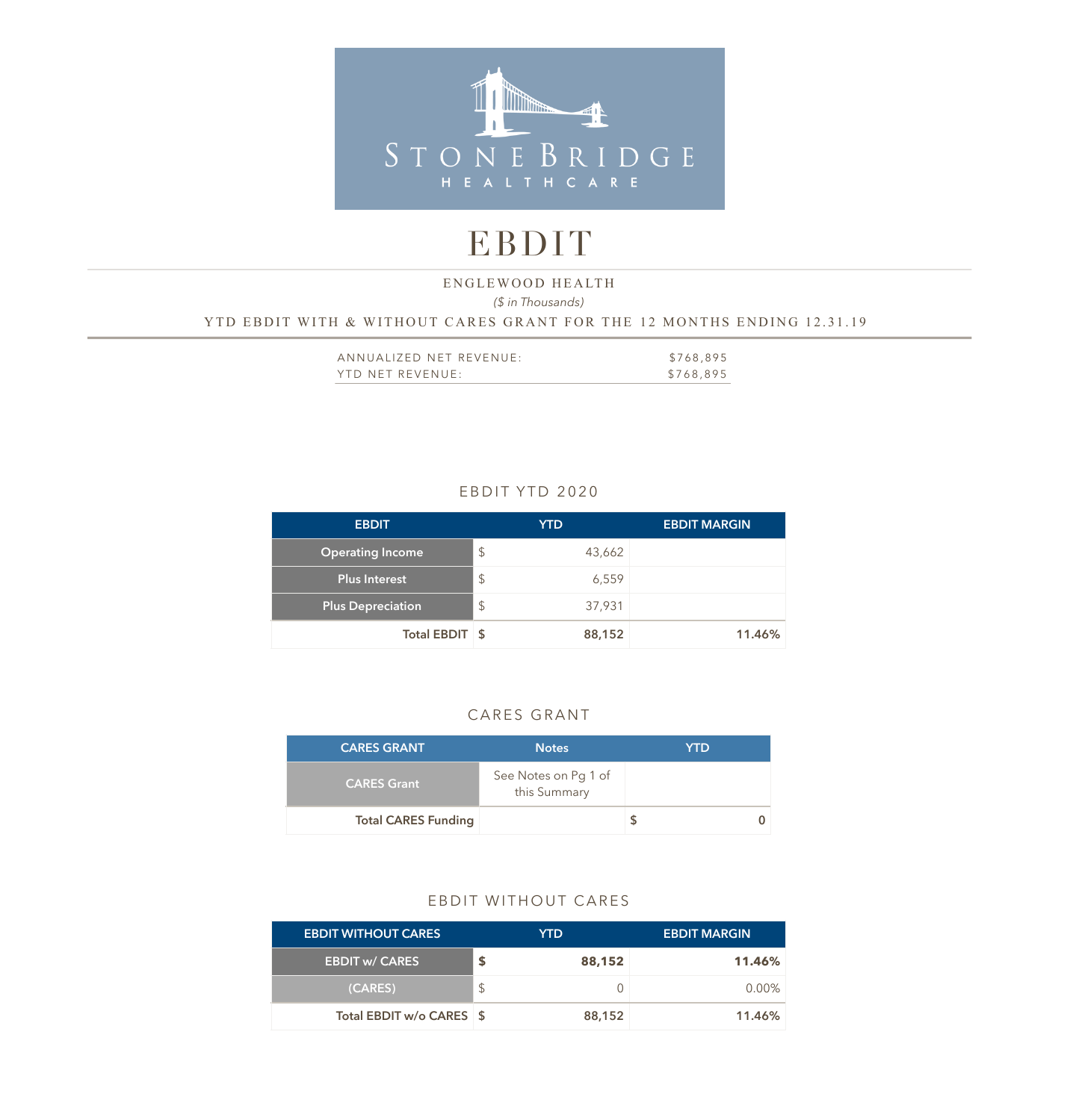

## EBDIT

## *(\$ in Thousands)*  YTD EBDIT WITH & WITHOUT CARES GRANT FOR THE 12 MONTHS ENDING 12.31.19 ENGLEWOOD HEALTH

| ANNUALIZED NET REVENUE: | \$768,895 |
|-------------------------|-----------|
| YTD NET REVENUE:        | \$768,895 |

## EBDIT YTD 2020

| <b>EBDIT</b>             |               | <b>YTD</b> | <b>EBDIT MARGIN</b> |
|--------------------------|---------------|------------|---------------------|
| <b>Operating Income</b>  | $\mathcal{L}$ | 43,662     |                     |
| Plus Interest            | $\mathcal{L}$ | 6,559      |                     |
| <b>Plus Depreciation</b> | $\frac{1}{2}$ | 37,931     |                     |
| Total EBDIT \$           |               | 88,152     | 11.46%              |

## CARES GRANT

| <b>CARES GRANT</b>         | <b>Notes</b>                         | YTD |
|----------------------------|--------------------------------------|-----|
| <b>CARES Grant</b>         | See Notes on Pg 1 of<br>this Summary |     |
| <b>Total CARES Funding</b> |                                      |     |

#### EBDIT WITHOUT CARES

| <b>EBDIT WITHOUT CARES</b> | YTD. |        | <b>EBDIT MARGIN</b> |
|----------------------------|------|--------|---------------------|
| <b>EBDIT w/ CARES</b>      |      | 88,152 | 11.46%              |
| (CARES)                    |      |        | $0.00\%$            |
| Total EBDIT w/o CARES \$   |      | 88,152 | 11.46%              |